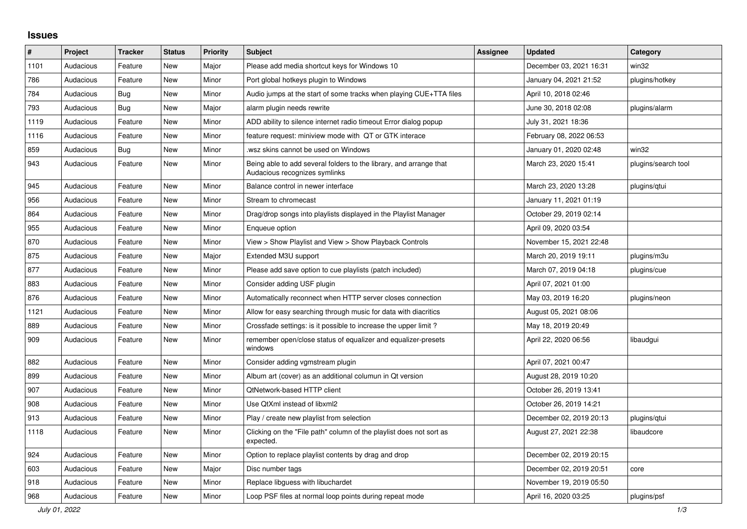## **Issues**

| $\#$ | Project   | <b>Tracker</b> | <b>Status</b> | <b>Priority</b> | <b>Subject</b>                                                                                      | <b>Assignee</b> | <b>Updated</b>          | Category            |
|------|-----------|----------------|---------------|-----------------|-----------------------------------------------------------------------------------------------------|-----------------|-------------------------|---------------------|
| 1101 | Audacious | Feature        | <b>New</b>    | Major           | Please add media shortcut keys for Windows 10                                                       |                 | December 03, 2021 16:31 | win32               |
| 786  | Audacious | Feature        | <b>New</b>    | Minor           | Port global hotkeys plugin to Windows                                                               |                 | January 04, 2021 21:52  | plugins/hotkey      |
| 784  | Audacious | <b>Bug</b>     | <b>New</b>    | Minor           | Audio jumps at the start of some tracks when playing CUE+TTA files                                  |                 | April 10, 2018 02:46    |                     |
| 793  | Audacious | Bug            | New           | Major           | alarm plugin needs rewrite                                                                          |                 | June 30, 2018 02:08     | plugins/alarm       |
| 1119 | Audacious | Feature        | <b>New</b>    | Minor           | ADD ability to silence internet radio timeout Error dialog popup                                    |                 | July 31, 2021 18:36     |                     |
| 1116 | Audacious | Feature        | <b>New</b>    | Minor           | feature request: miniview mode with QT or GTK interace                                              |                 | February 08, 2022 06:53 |                     |
| 859  | Audacious | Bug            | New           | Minor           | wsz skins cannot be used on Windows.                                                                |                 | January 01, 2020 02:48  | win32               |
| 943  | Audacious | Feature        | New           | Minor           | Being able to add several folders to the library, and arrange that<br>Audacious recognizes symlinks |                 | March 23, 2020 15:41    | plugins/search tool |
| 945  | Audacious | Feature        | New           | Minor           | Balance control in newer interface                                                                  |                 | March 23, 2020 13:28    | plugins/qtui        |
| 956  | Audacious | Feature        | <b>New</b>    | Minor           | Stream to chromecast                                                                                |                 | January 11, 2021 01:19  |                     |
| 864  | Audacious | Feature        | <b>New</b>    | Minor           | Drag/drop songs into playlists displayed in the Playlist Manager                                    |                 | October 29, 2019 02:14  |                     |
| 955  | Audacious | Feature        | <b>New</b>    | Minor           | Enqueue option                                                                                      |                 | April 09, 2020 03:54    |                     |
| 870  | Audacious | Feature        | New           | Minor           | View > Show Playlist and View > Show Playback Controls                                              |                 | November 15, 2021 22:48 |                     |
| 875  | Audacious | Feature        | <b>New</b>    | Major           | Extended M3U support                                                                                |                 | March 20, 2019 19:11    | plugins/m3u         |
| 877  | Audacious | Feature        | <b>New</b>    | Minor           | Please add save option to cue playlists (patch included)                                            |                 | March 07, 2019 04:18    | plugins/cue         |
| 883  | Audacious | Feature        | New           | Minor           | Consider adding USF plugin                                                                          |                 | April 07, 2021 01:00    |                     |
| 876  | Audacious | Feature        | <b>New</b>    | Minor           | Automatically reconnect when HTTP server closes connection                                          |                 | May 03, 2019 16:20      | plugins/neon        |
| 1121 | Audacious | Feature        | New           | Minor           | Allow for easy searching through music for data with diacritics                                     |                 | August 05, 2021 08:06   |                     |
| 889  | Audacious | Feature        | <b>New</b>    | Minor           | Crossfade settings: is it possible to increase the upper limit?                                     |                 | May 18, 2019 20:49      |                     |
| 909  | Audacious | Feature        | New           | Minor           | remember open/close status of equalizer and equalizer-presets<br>windows                            |                 | April 22, 2020 06:56    | libaudgui           |
| 882  | Audacious | Feature        | New           | Minor           | Consider adding vgmstream plugin                                                                    |                 | April 07, 2021 00:47    |                     |
| 899  | Audacious | Feature        | <b>New</b>    | Minor           | Album art (cover) as an additional columun in Qt version                                            |                 | August 28, 2019 10:20   |                     |
| 907  | Audacious | Feature        | <b>New</b>    | Minor           | QtNetwork-based HTTP client                                                                         |                 | October 26, 2019 13:41  |                     |
| 908  | Audacious | Feature        | New           | Minor           | Use QtXml instead of libxml2                                                                        |                 | October 26, 2019 14:21  |                     |
| 913  | Audacious | Feature        | New           | Minor           | Play / create new playlist from selection                                                           |                 | December 02, 2019 20:13 | plugins/gtui        |
| 1118 | Audacious | Feature        | New           | Minor           | Clicking on the "File path" column of the playlist does not sort as<br>expected.                    |                 | August 27, 2021 22:38   | libaudcore          |
| 924  | Audacious | Feature        | <b>New</b>    | Minor           | Option to replace playlist contents by drag and drop                                                |                 | December 02, 2019 20:15 |                     |
| 603  | Audacious | Feature        | New           | Major           | Disc number tags                                                                                    |                 | December 02, 2019 20:51 | core                |
| 918  | Audacious | Feature        | New           | Minor           | Replace libguess with libuchardet                                                                   |                 | November 19, 2019 05:50 |                     |
| 968  | Audacious | Feature        | <b>New</b>    | Minor           | Loop PSF files at normal loop points during repeat mode                                             |                 | April 16, 2020 03:25    | plugins/psf         |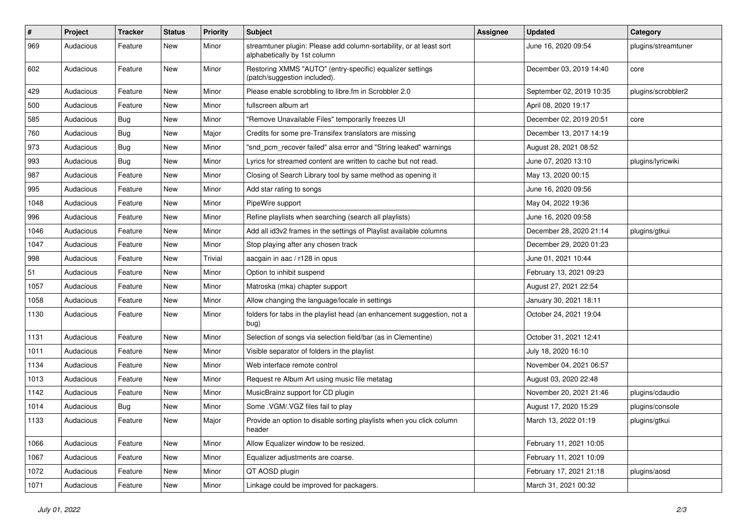| $\pmb{\#}$ | Project   | <b>Tracker</b> | <b>Status</b> | <b>Priority</b> | <b>Subject</b>                                                                                      | <b>Assignee</b> | <b>Updated</b>           | Category            |
|------------|-----------|----------------|---------------|-----------------|-----------------------------------------------------------------------------------------------------|-----------------|--------------------------|---------------------|
| 969        | Audacious | Feature        | New           | Minor           | streamtuner plugin: Please add column-sortability, or at least sort<br>alphabetically by 1st column |                 | June 16, 2020 09:54      | plugins/streamtuner |
| 602        | Audacious | Feature        | New           | Minor           | Restoring XMMS "AUTO" (entry-specific) equalizer settings<br>(patch/suggestion included).           |                 | December 03, 2019 14:40  | core                |
| 429        | Audacious | Feature        | <b>New</b>    | Minor           | Please enable scrobbling to libre.fm in Scrobbler 2.0                                               |                 | September 02, 2019 10:35 | plugins/scrobbler2  |
| 500        | Audacious | Feature        | New           | Minor           | fullscreen album art                                                                                |                 | April 08, 2020 19:17     |                     |
| 585        | Audacious | <b>Bug</b>     | New           | Minor           | "Remove Unavailable Files" temporarily freezes UI                                                   |                 | December 02, 2019 20:51  | core                |
| 760        | Audacious | Bug            | New           | Major           | Credits for some pre-Transifex translators are missing                                              |                 | December 13, 2017 14:19  |                     |
| 973        | Audacious | Bug            | New           | Minor           | "snd_pcm_recover failed" alsa error and "String leaked" warnings                                    |                 | August 28, 2021 08:52    |                     |
| 993        | Audacious | Bug            | <b>New</b>    | Minor           | Lyrics for streamed content are written to cache but not read.                                      |                 | June 07, 2020 13:10      | plugins/lyricwiki   |
| 987        | Audacious | Feature        | New           | Minor           | Closing of Search Library tool by same method as opening it                                         |                 | May 13, 2020 00:15       |                     |
| 995        | Audacious | Feature        | New           | Minor           | Add star rating to songs                                                                            |                 | June 16, 2020 09:56      |                     |
| 1048       | Audacious | Feature        | New           | Minor           | PipeWire support                                                                                    |                 | May 04, 2022 19:36       |                     |
| 996        | Audacious | Feature        | New           | Minor           | Refine playlists when searching (search all playlists)                                              |                 | June 16, 2020 09:58      |                     |
| 1046       | Audacious | Feature        | <b>New</b>    | Minor           | Add all id3v2 frames in the settings of Playlist available columns                                  |                 | December 28, 2020 21:14  | plugins/gtkui       |
| 1047       | Audacious | Feature        | New           | Minor           | Stop playing after any chosen track                                                                 |                 | December 29, 2020 01:23  |                     |
| 998        | Audacious | Feature        | New           | Trivial         | aacgain in aac / r128 in opus                                                                       |                 | June 01, 2021 10:44      |                     |
| 51         | Audacious | Feature        | New           | Minor           | Option to inhibit suspend                                                                           |                 | February 13, 2021 09:23  |                     |
| 1057       | Audacious | Feature        | New           | Minor           | Matroska (mka) chapter support                                                                      |                 | August 27, 2021 22:54    |                     |
| 1058       | Audacious | Feature        | New           | Minor           | Allow changing the language/locale in settings                                                      |                 | January 30, 2021 18:11   |                     |
| 1130       | Audacious | Feature        | New           | Minor           | folders for tabs in the playlist head (an enhancement suggestion, not a<br>bug)                     |                 | October 24, 2021 19:04   |                     |
| 1131       | Audacious | Feature        | <b>New</b>    | Minor           | Selection of songs via selection field/bar (as in Clementine)                                       |                 | October 31, 2021 12:41   |                     |
| 1011       | Audacious | Feature        | New           | Minor           | Visible separator of folders in the playlist                                                        |                 | July 18, 2020 16:10      |                     |
| 1134       | Audacious | Feature        | New           | Minor           | Web interface remote control                                                                        |                 | November 04, 2021 06:57  |                     |
| 1013       | Audacious | Feature        | New           | Minor           | Request re Album Art using music file metatag                                                       |                 | August 03, 2020 22:48    |                     |
| 1142       | Audacious | Feature        | New           | Minor           | MusicBrainz support for CD plugin                                                                   |                 | November 20, 2021 21:46  | plugins/cdaudio     |
| 1014       | Audacious | <b>Bug</b>     | New           | Minor           | Some .VGM/.VGZ files fail to play                                                                   |                 | August 17, 2020 15:29    | plugins/console     |
| 1133       | Audacious | Feature        | New           | Major           | Provide an option to disable sorting playlists when you click column<br>header                      |                 | March 13, 2022 01:19     | plugins/gtkui       |
| 1066       | Audacious | Feature        | New           | Minor           | Allow Equalizer window to be resized.                                                               |                 | February 11, 2021 10:05  |                     |
| 1067       | Audacious | Feature        | New           | Minor           | Equalizer adjustments are coarse.                                                                   |                 | February 11, 2021 10:09  |                     |
| 1072       | Audacious | Feature        | New           | Minor           | QT AOSD plugin                                                                                      |                 | February 17, 2021 21:18  | plugins/aosd        |
| 1071       | Audacious | Feature        | New           | Minor           | Linkage could be improved for packagers.                                                            |                 | March 31, 2021 00:32     |                     |